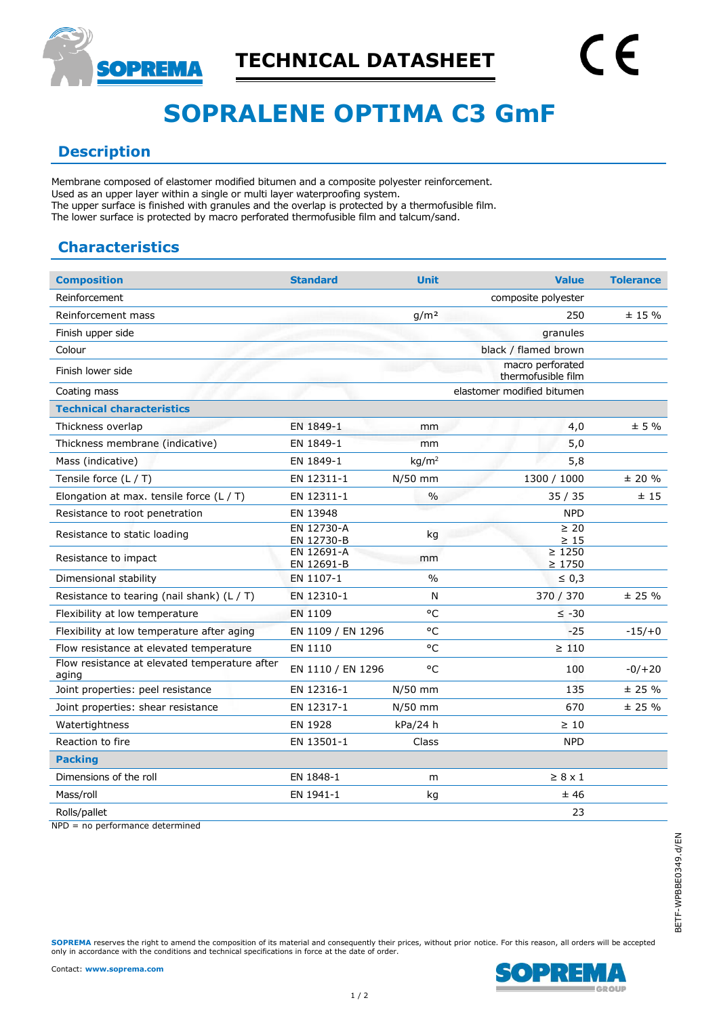

# **SOPRALENE OPTIMA C3 GmF**

#### **Description**

Membrane composed of elastomer modified bitumen and a composite polyester reinforcement. Used as an upper layer within a single or multi layer waterproofing system. The upper surface is finished with granules and the overlap is protected by a thermofusible film. The lower surface is protected by macro perforated thermofusible film and talcum/sand.

## **Characteristics**

| <b>Composition</b>                                     | <b>Standard</b>          | <b>Unit</b>       | <b>Value</b>                           | <b>Tolerance</b> |
|--------------------------------------------------------|--------------------------|-------------------|----------------------------------------|------------------|
| Reinforcement                                          |                          |                   | composite polyester                    |                  |
| Reinforcement mass                                     |                          | g/m <sup>2</sup>  | 250                                    | $± 15 \%$        |
| Finish upper side                                      |                          |                   | granules                               |                  |
| Colour                                                 |                          |                   | black / flamed brown                   |                  |
| Finish lower side                                      |                          |                   | macro perforated<br>thermofusible film |                  |
| Coating mass                                           |                          |                   | elastomer modified bitumen             |                  |
| <b>Technical characteristics</b>                       |                          |                   |                                        |                  |
| Thickness overlap                                      | EN 1849-1                | mm                | 4,0                                    | ± 5 %            |
| Thickness membrane (indicative)                        | EN 1849-1                | mm                | 5,0                                    |                  |
| Mass (indicative)                                      | EN 1849-1                | kg/m <sup>2</sup> | 5,8                                    |                  |
| Tensile force $(L / T)$                                | EN 12311-1               | $N/50$ mm         | 1300 / 1000                            | ± 20%            |
| Elongation at max. tensile force $(L/T)$               | EN 12311-1               | $\frac{0}{0}$     | 35/35                                  | ±15              |
| Resistance to root penetration                         | EN 13948                 |                   | <b>NPD</b>                             |                  |
| Resistance to static loading                           | EN 12730-A<br>EN 12730-B | kg                | $\geq 20$<br>$\geq 15$                 |                  |
| Resistance to impact                                   | EN 12691-A<br>EN 12691-B | mm                | $\geq 1250$<br>$\geq 1750$             |                  |
| Dimensional stability                                  | EN 1107-1                | $\frac{0}{0}$     | $\leq 0,3$                             |                  |
| Resistance to tearing (nail shank) $(L / T)$           | EN 12310-1               | N                 | 370 / 370                              | ± 25%            |
| Flexibility at low temperature                         | EN 1109                  | $^{\circ}$ C      | $\leq -30$                             |                  |
| Flexibility at low temperature after aging             | EN 1109 / EN 1296        | °C                | $-25$                                  | $-15/+0$         |
| Flow resistance at elevated temperature                | EN 1110                  | °C                | $\geq 110$                             |                  |
| Flow resistance at elevated temperature after<br>aging | EN 1110 / EN 1296        | °C                | 100                                    | $-0/+20$         |
| Joint properties: peel resistance                      | EN 12316-1               | N/50 mm           | 135                                    | ± 25%            |
| Joint properties: shear resistance                     | EN 12317-1               | N/50 mm           | 670                                    | ± 25%            |
| Watertightness                                         | EN 1928                  | kPa/24 h          | $\geq 10$                              |                  |
| Reaction to fire                                       | EN 13501-1               | Class             | <b>NPD</b>                             |                  |
| <b>Packing</b>                                         |                          |                   |                                        |                  |
| Dimensions of the roll                                 | EN 1848-1                | m                 | $\geq 8 \times 1$                      |                  |
| Mass/roll                                              | EN 1941-1                | kg                | ±46                                    |                  |
| Rolls/pallet                                           |                          |                   | 23                                     |                  |

NPD = no performance determined

**SOPREMA** reserves the right to amend the composition of its material and consequently their prices, without prior notice. For this reason, all orders will be accepted only in accordance with the conditions and technical specifications in force at the date of order.